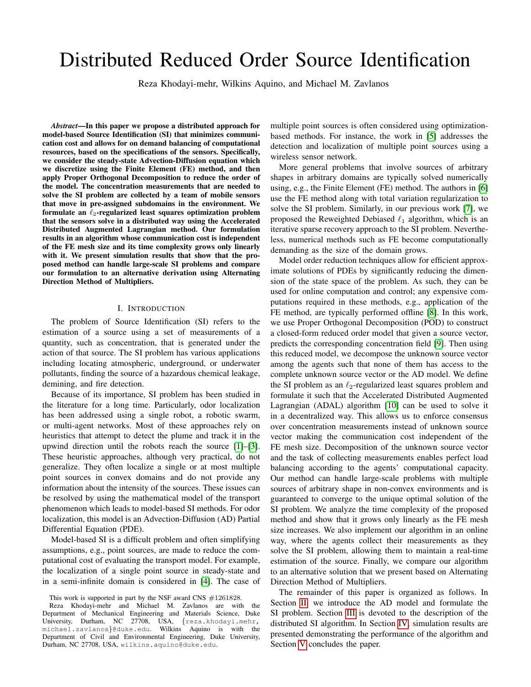# Distributed Reduced Order Source Identification

Reza Khodayi-mehr, Wilkins Aquino, and Michael M. Zavlanos

*Abstract*—In this paper we propose a distributed approach for model-based Source Identification (SI) that minimizes communication cost and allows for on demand balancing of computational resources, based on the specifications of the sensors. Specifically, we consider the steady-state Advection-Diffusion equation which we discretize using the Finite Element (FE) method, and then apply Proper Orthogonal Decomposition to reduce the order of the model. The concentration measurements that are needed to solve the SI problem are collected by a team of mobile sensors that move in pre-assigned subdomains in the environment. We formulate an  $\ell_2$ -regularized least squares optimization problem that the sensors solve in a distributed way using the Accelerated Distributed Augmented Lagrangian method. Our formulation results in an algorithm whose communication cost is independent of the FE mesh size and its time complexity grows only linearly with it. We present simulation results that show that the proposed method can handle large-scale SI problems and compare our formulation to an alternative derivation using Alternating Direction Method of Multipliers.

#### I. INTRODUCTION

The problem of Source Identification (SI) refers to the estimation of a source using a set of measurements of a quantity, such as concentration, that is generated under the action of that source. The SI problem has various applications including locating atmospheric, underground, or underwater pollutants, finding the source of a hazardous chemical leakage, demining, and fire detection.

Because of its importance, SI problem has been studied in the literature for a long time. Particularly, odor localization has been addressed using a single robot, a robotic swarm, or multi-agent networks. Most of these approaches rely on heuristics that attempt to detect the plume and track it in the upwind direction until the robots reach the source [\[1\]](#page-5-0)–[\[3\]](#page-5-1). These heuristic approaches, although very practical, do not generalize. They often localize a single or at most multiple point sources in convex domains and do not provide any information about the intensity of the sources. These issues can be resolved by using the mathematical model of the transport phenomenon which leads to model-based SI methods. For odor localization, this model is an Advection-Diffusion (AD) Partial Differential Equation (PDE).

Model-based SI is a difficult problem and often simplifying assumptions, e.g., point sources, are made to reduce the computational cost of evaluating the transport model. For example, the localization of a single point source in steady-state and in a semi-infinite domain is considered in [\[4\]](#page-5-2). The case of multiple point sources is often considered using optimizationbased methods. For instance, the work in [\[5\]](#page-5-3) addresses the detection and localization of multiple point sources using a wireless sensor network.

More general problems that involve sources of arbitrary shapes in arbitrary domains are typically solved numerically using, e.g., the Finite Element (FE) method. The authors in [\[6\]](#page-5-4) use the FE method along with total variation regularization to solve the SI problem. Similarly, in our previous work [\[7\]](#page-5-5), we proposed the Reweighted Debiased  $\ell_1$  algorithm, which is an iterative sparse recovery approach to the SI problem. Nevertheless, numerical methods such as FE become computationally demanding as the size of the domain grows.

Model order reduction techniques allow for efficient approximate solutions of PDEs by significantly reducing the dimension of the state space of the problem. As such, they can be used for online computation and control; any expensive computations required in these methods, e.g., application of the FE method, are typically performed offline [\[8\]](#page-5-6). In this work, we use Proper Orthogonal Decomposition (POD) to construct a closed-form reduced order model that given a source vector, predicts the corresponding concentration field [\[9\]](#page-5-7). Then using this reduced model, we decompose the unknown source vector among the agents such that none of them has access to the complete unknown source vector or the AD model. We define the SI problem as an  $\ell_2$ -regularized least squares problem and formulate it such that the Accelerated Distributed Augmented Lagrangian (ADAL) algorithm [\[10\]](#page-5-8) can be used to solve it in a decentralized way. This allows us to enforce consensus over concentration measurements instead of unknown source vector making the communication cost independent of the FE mesh size. Decomposition of the unknown source vector and the task of collecting measurements enables perfect load balancing according to the agents' computational capacity. Our method can handle large-scale problems with multiple sources of arbitrary shape in non-convex environments and is guaranteed to converge to the unique optimal solution of the SI problem. We analyze the time complexity of the proposed method and show that it grows only linearly as the FE mesh size increases. We also implement our algorithm in an online way, where the agents collect their measurements as they solve the SI problem, allowing them to maintain a real-time estimation of the source. Finally, we compare our algorithm to an alternative solution that we present based on Alternating Direction Method of Multipliers.

The remainder of this paper is organized as follows. In Section [II,](#page-1-0) we introduce the AD model and formulate the SI problem. Section [III](#page-2-0) is devoted to the description of the distributed SI algorithm. In Section [IV,](#page-4-0) simulation results are presented demonstrating the performance of the algorithm and Section [V](#page-5-9) concludes the paper.

This work is supported in part by the NSF award CNS  $\#1261828$ .

Reza Khodayi-mehr and Michael M. Zavlanos are with the Department of Mechanical Engineering and Materials Science, Duke University, Durham, NC 27708, USA, {reza.khodayi.mehr, michael.zavlanos}@duke.edu. Wilkins Aquino is with the Department of Civil and Environmental Engineering, Duke University, Durham, NC 27708, USA, wilkins.aquino@duke.edu.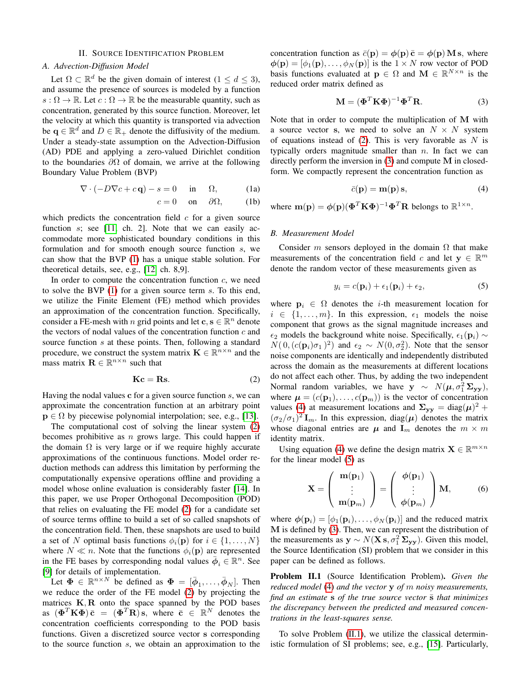# II. SOURCE IDENTIFICATION PROBLEM

## <span id="page-1-7"></span><span id="page-1-0"></span>*A. Advection-Diffusion Model*

Let  $\Omega \subset \mathbb{R}^d$  be the given domain of interest  $(1 \leq d \leq 3)$ , and assume the presence of sources is modeled by a function  $s : \Omega \to \mathbb{R}$ . Let  $c : \Omega \to \mathbb{R}$  be the measurable quantity, such as concentration, generated by this source function. Moreover, let the velocity at which this quantity is transported via advection be  $\mathbf{q} \in \mathbb{R}^d$  and  $D \in \mathbb{R}_+$  denote the diffusivity of the medium. Under a steady-state assumption on the Advection-Diffusion (AD) PDE and applying a zero-valued Dirichlet condition to the boundaries  $\partial\Omega$  of domain, we arrive at the following Boundary Value Problem (BVP)

$$
\nabla \cdot (-D\nabla c + c\mathbf{q}) - s = 0 \quad \text{in} \quad \Omega,
$$
 (1a)

<span id="page-1-1"></span>
$$
c = 0 \quad \text{on} \quad \partial \Omega, \quad (1b)
$$

which predicts the concentration field  $c$  for a given source function  $s$ ; see [\[11,](#page-5-10) ch. 2]. Note that we can easily accommodate more sophisticated boundary conditions in this formulation and for smooth enough source function s, we can show that the BVP [\(1\)](#page-1-1) has a unique stable solution. For theoretical details, see, e.g., [\[12,](#page-5-11) ch. 8,9].

In order to compute the concentration function  $c$ , we need to solve the BVP [\(1\)](#page-1-1) for a given source term s. To this end, we utilize the Finite Element (FE) method which provides an approximation of the concentration function. Specifically, consider a FE-mesh with n grid points and let  $c, s \in \mathbb{R}^n$  denote the vectors of nodal values of the concentration function  $c$  and source function s at these points. Then, following a standard procedure, we construct the system matrix  $\mathbf{K} \in \mathbb{R}^{n \times n}$  and the mass matrix  $\mathbf{R} \in \mathbb{R}^{n \times n}$  such that

<span id="page-1-2"></span>
$$
Kc = Rs.
$$
 (2)

Having the nodal values  $\bf{c}$  for a given source function  $\bf{s}$ , we can approximate the concentration function at an arbitrary point  $p \in \Omega$  by piecewise polynomial interpolation; see, e.g., [\[13\]](#page-5-12).

The computational cost of solving the linear system [\(2\)](#page-1-2) becomes prohibitive as  $n$  grows large. This could happen if the domain  $\Omega$  is very large or if we require highly accurate approximations of the continuous functions. Model order reduction methods can address this limitation by performing the computationally expensive operations offline and providing a model whose online evaluation is considerably faster [\[14\]](#page-5-13). In this paper, we use Proper Orthogonal Decomposition (POD) that relies on evaluating the FE model [\(2\)](#page-1-2) for a candidate set of source terms offline to build a set of so called snapshots of the concentration field. Then, these snapshots are used to build a set of N optimal basis functions  $\phi_i(\mathbf{p})$  for  $i \in \{1, \dots, N\}$ where  $N \ll n$ . Note that the functions  $\phi_i(\mathbf{p})$  are represented in the FE bases by corresponding nodal values  $\bar{\phi}_i \in \mathbb{R}^n$ . See [\[9\]](#page-5-7) for details of implementation.

Let  $\Phi \in \mathbb{R}^{n \times N}$  be defined as  $\Phi = [\bar{\phi}_1, \dots, \bar{\phi}_N]$ . Then we reduce the order of the FE model [\(2\)](#page-1-2) by projecting the matrices  $K, R$  onto the space spanned by the POD bases as  $(\mathbf{\Phi}^T \mathbf{K} \mathbf{\Phi}) \bar{\mathbf{c}} = (\mathbf{\Phi}^T \mathbf{R}) \mathbf{s}$ , where  $\bar{\mathbf{c}} \in \mathbb{R}^N$  denotes the concentration coefficients corresponding to the POD basis functions. Given a discretized source vector s corresponding to the source function s, we obtain an approximation to the concentration function as  $\bar{c}(\mathbf{p}) = \phi(\mathbf{p})\bar{\mathbf{c}} = \phi(\mathbf{p})\mathbf{M}\mathbf{s}$ , where  $\phi(\mathbf{p}) = [\phi_1(\mathbf{p}), \dots, \phi_N(\mathbf{p})]$  is the  $1 \times N$  row vector of POD basis functions evaluated at  $\mathbf{p} \in \Omega$  and  $\mathbf{M} \in \mathbb{R}^{N \times n}$  is the reduced order matrix defined as

<span id="page-1-3"></span>
$$
\mathbf{M} = (\mathbf{\Phi}^T \mathbf{K} \mathbf{\Phi})^{-1} \mathbf{\Phi}^T \mathbf{R}.
$$
 (3)

Note that in order to compute the multiplication of M with a source vector s, we need to solve an  $N \times N$  system of equations instead of  $(2)$ . This is very favorable as N is typically orders magnitude smaller than  $n$ . In fact we can directly perform the inversion in [\(3\)](#page-1-3) and compute M in closedform. We compactly represent the concentration function as

<span id="page-1-4"></span>
$$
\bar{c}(\mathbf{p}) = \mathbf{m}(\mathbf{p})\,\mathbf{s},\tag{4}
$$

where  $\mathbf{m}(\mathbf{p}) = \boldsymbol{\phi}(\mathbf{p})(\mathbf{\Phi}^T \mathbf{K} \mathbf{\Phi})^{-1} \mathbf{\Phi}^T \mathbf{R}$  belongs to  $\mathbb{R}^{1 \times n}$ .

# *B. Measurement Model*

Consider m sensors deployed in the domain  $\Omega$  that make measurements of the concentration field c and let  $y \in \mathbb{R}^m$ denote the random vector of these measurements given as

<span id="page-1-5"></span>
$$
y_i = c(\mathbf{p}_i) + \epsilon_1(\mathbf{p}_i) + \epsilon_2, \tag{5}
$$

where  $p_i \in \Omega$  denotes the *i*-th measurement location for  $i \in \{1, \ldots, m\}$ . In this expression,  $\epsilon_1$  models the noise component that grows as the signal magnitude increases and  $\epsilon_2$  models the background white noise. Specifically,  $\epsilon_1(\mathbf{p}_i)$  ∼  $N(0, (c(\mathbf{p}_i)\sigma_1)^2)$  and  $\epsilon_2 \sim N(0, \sigma_2^2)$ . Note that the sensor noise components are identically and independently distributed across the domain as the measurements at different locations do not affect each other. Thus, by adding the two independent Normal random variables, we have  $y \sim N(\mu, \sigma_1^2 \Sigma_{yy}),$ where  $\mathbf{\mu} = (c(\mathbf{p}_1), \dots, c(\mathbf{p}_m))$  is the vector of concentration values [\(4\)](#page-1-4) at measurement locations and  $\Sigma_{yy} = \text{diag}(\mu)^2 + \mu^2$  $(\sigma_2/\sigma_1)^2$  **I**<sub>m</sub>. In this expression, diag( $\mu$ ) denotes the matrix whose diagonal entries are  $\mu$  and  $I_m$  denotes the  $m \times m$ identity matrix.

Using equation [\(4\)](#page-1-4) we define the design matrix  $\mathbf{X} \in \mathbb{R}^{m \times n}$ for the linear model [\(5\)](#page-1-5) as

<span id="page-1-8"></span>
$$
\mathbf{X} = \left(\begin{array}{c}\mathbf{m}(\mathbf{p}_1) \\ \vdots \\ \mathbf{m}(\mathbf{p}_m)\end{array}\right) = \left(\begin{array}{c}\phi(\mathbf{p}_1) \\ \vdots \\ \phi(\mathbf{p}_m)\end{array}\right) \mathbf{M},\tag{6}
$$

where  $\phi(\mathbf{p}_i) = [\phi_1(\mathbf{p}_i), \dots, \phi_N(\mathbf{p}_i)]$  and the reduced matrix M is defined by [\(3\)](#page-1-3). Then, we can represent the distribution of the measurements as  $y \sim N(X \, \textbf{s}, \sigma_1^2 \, \Sigma_{yy})$ . Given this model, the Source Identification (SI) problem that we consider in this paper can be defined as follows.

<span id="page-1-6"></span>Problem II.1 (Source Identification Problem). *Given the reduced model* [\(4\)](#page-1-4) *and the vector* y *of* m *noisy measurements, find an estimate* **s** *of the true source vector* **s** *that minimizes the discrepancy between the predicted and measured concentrations in the least-squares sense.*

To solve Problem [\(II.1\)](#page-1-6), we utilize the classical deterministic formulation of SI problems; see, e.g., [\[15\]](#page-5-14). Particularly,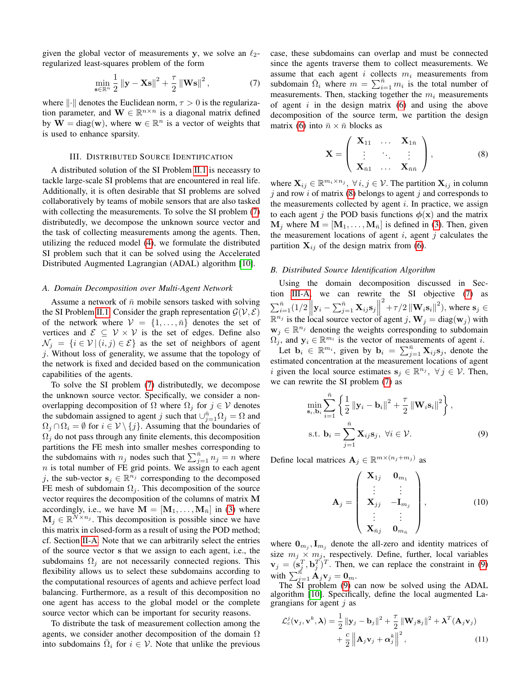given the global vector of measurements y, we solve an  $\ell_2$ regularized least-squares problem of the form

<span id="page-2-1"></span>
$$
\min_{\mathbf{s}\in\mathbb{R}^n}\frac{1}{2}\left\|\mathbf{y}-\mathbf{X}\mathbf{s}\right\|^2+\frac{\tau}{2}\left\|\mathbf{W}\mathbf{s}\right\|^2,\tag{7}
$$

where  $\|\cdot\|$  denotes the Euclidean norm,  $\tau > 0$  is the regularization parameter, and  $\mathbf{W} \in \mathbb{R}^{n \times n}$  is a diagonal matrix defined by  $\mathbf{W} = \text{diag}(\mathbf{w})$ , where  $\mathbf{w} \in \mathbb{R}^n$  is a vector of weights that is used to enhance sparsity.

## III. DISTRIBUTED SOURCE IDENTIFICATION

<span id="page-2-0"></span>A distributed solution of the SI Problem [II.1](#page-1-6) is neceassry to tackle large-scale SI problems that are encountered in real life. Additionally, it is often desirable that SI problems are solved collaboratively by teams of mobile sensors that are also tasked with collecting the measurements. To solve the SI problem  $(7)$ distributedly, we decompose the unknown source vector and the task of collecting measurements among the agents. Then, utilizing the reduced model [\(4\)](#page-1-4), we formulate the distributed SI problem such that it can be solved using the Accelerated Distributed Augmented Lagrangian (ADAL) algorithm [\[10\]](#page-5-8).

#### <span id="page-2-3"></span>*A. Domain Decomposition over Multi-Agent Network*

Assume a network of  $\bar{n}$  mobile sensors tasked with solving the SI Problem [II.1.](#page-1-6) Consider the graph representation  $\mathcal{G}(\mathcal{V}, \mathcal{E})$ of the network where  $V = \{1, \ldots, \bar{n}\}\$  denotes the set of vertices and  $\mathcal{E} \subseteq \mathcal{V} \times \mathcal{V}$  is the set of edges. Define also  $\mathcal{N}_j = \{i \in \mathcal{V} \mid (i,j) \in \mathcal{E}\}\$ as the set of neighbors of agent j. Without loss of generality, we assume that the topology of the network is fixed and decided based on the communication capabilities of the agents.

To solve the SI problem [\(7\)](#page-2-1) distributedly, we decompose the unknown source vector. Specifically, we consider a nonoverlapping decomposition of  $Ω$  where  $Ω<sub>j</sub>$  for  $j ∈ V$  denotes the subdomain assigned to agent j such that  $\bigcup_{j=1}^{\bar{n}} \Omega_j = \Omega$  and  $\Omega_j \cap \Omega_i = \emptyset$  for  $i \in \mathcal{V} \setminus \{j\}$ . Assuming that the boundaries of  $\Omega_i$  do not pass through any finite elements, this decomposition partitions the FE mesh into smaller meshes corresponding to the subdomains with  $n_j$  nodes such that  $\sum_{j=1}^{\bar{n}} n_j = n$  where  $n$  is total number of FE grid points. We assign to each agent j, the sub-vector  $\mathbf{s}_j \in \mathbb{R}^{n_j}$  corresponding to the decomposed FE mesh of subdomain  $\Omega_i$ . This decomposition of the source vector requires the decomposition of the columns of matrix M accordingly, i.e., we have  $\mathbf{M} = [\mathbf{M}_1, \dots, \mathbf{M}_{\bar{n}}]$  in [\(3\)](#page-1-3) where  $\mathbf{M}_j \in \mathbb{R}^{\bar{N} \times n_j}$ . This decomposition is possible since we have this matrix in closed-form as a result of using the POD method; cf. Section [II-A.](#page-1-7) Note that we can arbitrarily select the entries of the source vector s that we assign to each agent, i.e., the subdomains  $\Omega_i$  are not necessarily connected regions. This flexibility allows us to select these subdomains according to the computational resources of agents and achieve perfect load balancing. Furthermore, as a result of this decomposition no one agent has access to the global model or the complete source vector which can be important for security reasons.

To distribute the task of measurement collection among the agents, we consider another decomposition of the domain  $\Omega$ into subdomains  $\overline{\Omega}_i$  for  $i \in \mathcal{V}$ . Note that unlike the previous case, these subdomains can overlap and must be connected since the agents traverse them to collect measurements. We assume that each agent  $i$  collects  $m_i$  measurements from subdomain  $\overline{\Omega}_i$  where  $m = \sum_{i=1}^{\overline{n}} m_i$  is the total number of measurements. Then, stacking together the  $m_i$  measurements of agent  $i$  in the design matrix [\(6\)](#page-1-8) and using the above decomposition of the source term, we partition the design matrix [\(6\)](#page-1-8) into  $\bar{n} \times \bar{n}$  blocks as

<span id="page-2-2"></span>
$$
\mathbf{X} = \left(\begin{array}{ccc} \mathbf{X}_{11} & \dots & \mathbf{X}_{1\bar{n}} \\ \vdots & \ddots & \vdots \\ \mathbf{X}_{\bar{n}1} & \dots & \mathbf{X}_{\bar{n}\bar{n}} \end{array}\right), \tag{8}
$$

where  $\mathbf{X}_{ij} \in \mathbb{R}^{m_i \times n_j}$ ,  $\forall i, j \in \mathcal{V}$ . The partition  $\mathbf{X}_{ij}$  in column  $j$  and row  $i$  of matrix [\(8\)](#page-2-2) belongs to agent  $j$  and corresponds to the measurements collected by agent  $i$ . In practice, we assign to each agent j the POD basis functions  $\phi(\mathbf{x})$  and the matrix  $M_j$  where  $M = [M_1, \ldots, M_{\overline{n}}]$  is defined in [\(3\)](#page-1-3). Then, given the measurement locations of agent  $i$ , agent  $j$  calculates the partition  $X_{ij}$  of the design matrix from [\(6\)](#page-1-8).

#### *B. Distributed Source Identification Algorithm*

Using the domain decomposition discussed in Section [III-A,](#page-2-3) we can rewrite the SI objective [\(7\)](#page-2-1) as  $\sum_{i=1}^{\bar{n}} (1/2 \left\| \mathbf{y}_i - \sum_{j=1}^{\bar{n}} \mathbf{X}_{ij} \mathbf{s}_j \right\|_2)$  $2^{2} + \tau/2 \left\| \mathbf{W}_{i} \mathbf{s}_{i} \right\|^{2}$ , where  $\mathbf{s}_{j} \in$  $\mathbb{R}^{n_j}$  is the local source vector of agent j,  $\mathbf{W}_j = \text{diag}(\mathbf{w}_j)$  with  $\mathbf{w}_j \in \mathbb{R}^{n_j}$  denoting the weights corresponding to subdomain  $\Omega_j$ , and  $y_i \in \mathbb{R}^{m_i}$  is the vector of measurements of agent i.

Let  $\mathbf{b}_i \in \mathbb{R}^{m_i}$ , given by  $\mathbf{b}_i = \sum_{j=1}^{\bar{n}} \mathbf{X}_{ij} \mathbf{s}_j$ , denote the estimated concentration at the measurement locations of agent i given the local source estimates  $s_j \in \mathbb{R}^{n_j}$ ,  $\forall j \in \mathcal{V}$ . Then, we can rewrite the SI problem [\(7\)](#page-2-1) as

$$
\min_{\mathbf{s}_{i}, \mathbf{b}_{i}} \sum_{i=1}^{\bar{n}} \left\{ \frac{1}{2} \left\| \mathbf{y}_{i} - \mathbf{b}_{i} \right\|^{2} + \frac{\tau}{2} \left\| \mathbf{W}_{i} \mathbf{s}_{i} \right\|^{2} \right\},
$$
  
s.t. 
$$
\mathbf{b}_{i} = \sum_{j=1}^{\bar{n}} \mathbf{X}_{i j} \mathbf{s}_{j}, \ \forall i \in \mathcal{V}.
$$
 (9)

Define local matrices  $A_j \in \mathbb{R}^{m \times (n_j + m_j)}$  as

<span id="page-2-6"></span><span id="page-2-4"></span>
$$
\mathbf{A}_{j} = \begin{pmatrix} \mathbf{X}_{1j} & \mathbf{0}_{m_1} \\ \vdots & \vdots \\ \mathbf{X}_{jj} & -\mathbf{I}_{m_j} \\ \vdots & \vdots \\ \mathbf{X}_{\bar{n}j} & \mathbf{0}_{m_{\bar{n}}} \end{pmatrix},
$$
(10)

where  $\mathbf{0}_{m_j}, \mathbf{I}_{m_j}$  denote the all-zero and identity matrices of size  $m_j \times m_j$ , respectively. Define, further, local variables  $\mathbf{v}_j = (\mathbf{s}_j^T, \mathbf{b}_j^T)^T$ . Then, we can replace the constraint in [\(9\)](#page-2-4) with  $\sum_{j=1}^{\vec{n}} \mathbf{A}_j \mathbf{v}_j = \mathbf{0}_m$ .

The SI problem [\(9\)](#page-2-4) can now be solved using the ADAL algorithm [\[10\]](#page-5-8). Specifically, define the local augmented Lagrangians for agent  $j$  as

<span id="page-2-5"></span>
$$
\mathcal{L}_c^j(\mathbf{v}_j, \mathbf{v}^k, \boldsymbol{\lambda}) = \frac{1}{2} ||\mathbf{y}_j - \mathbf{b}_j||^2 + \frac{\tau}{2} ||\mathbf{W}_j \mathbf{s}_j||^2 + \boldsymbol{\lambda}^T (\mathbf{A}_j \mathbf{v}_j)
$$
  
+  $\frac{c}{2} ||\mathbf{A}_j \mathbf{v}_j + \boldsymbol{\alpha}_j^k||^2$ , (11)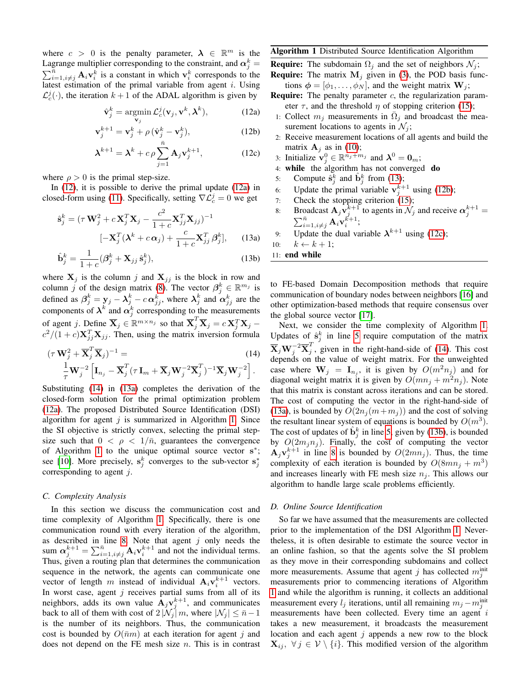where  $c > 0$  is the penalty parameter,  $\lambda \in \mathbb{R}^m$  is the Lagrange multiplier corresponding to the constraint, and  $\alpha_j^k =$  $\sum_{i=1, i \neq j}^{\bar{n}} \mathbf{A}_i \mathbf{v}_i^k$  is a constant in which  $\mathbf{v}_i^k$  corresponds to the latest estimation of the primal variable from agent  $i$ . Using  $\mathcal{L}_{c}^{j}(\cdot)$ , the iteration  $k+1$  of the ADAL algorithm is given by

$$
\hat{\mathbf{v}}_j^k = \operatorname*{argmin}_{\mathbf{v}_j} \mathcal{L}_c^j(\mathbf{v}_j, \mathbf{v}^k, \boldsymbol{\lambda}^k),
$$
 (12a)

$$
\mathbf{v}_j^{k+1} = \mathbf{v}_j^k + \rho \left( \hat{\mathbf{v}}_j^k - \mathbf{v}_j^k \right),\tag{12b}
$$

$$
\lambda^{k+1} = \lambda^k + c \rho \sum_{j=1}^{\bar{n}} \mathbf{A}_j \mathbf{v}_j^{k+1},
$$
 (12c)

where  $\rho > 0$  is the primal step-size.

In [\(12\)](#page-3-0), it is possible to derive the primal update [\(12a\)](#page-3-1) in closed-form using [\(11\)](#page-2-5). Specifically, setting  $\nabla \mathcal{L}_c^j = 0$  we get

$$
\hat{\mathbf{s}}_j^k = (\tau \mathbf{W}_j^2 + c \mathbf{X}_j^T \mathbf{X}_j - \frac{c^2}{1+c} \mathbf{X}_{jj}^T \mathbf{X}_{jj})^{-1}
$$

$$
[-\mathbf{X}_j^T (\boldsymbol{\lambda}^k + c \,\boldsymbol{\alpha}_j) + \frac{c}{1+c} \mathbf{X}_{jj}^T \boldsymbol{\beta}_j^k],\qquad(13a)
$$

$$
\hat{\mathbf{b}}_j^k = \frac{1}{1+c} (\boldsymbol{\beta}_j^k + \mathbf{X}_{jj} \hat{\mathbf{s}}_j^k),\tag{13b}
$$

where  $X_j$  is the column j and  $X_{jj}$  is the block in row and column j of the design matrix [\(8\)](#page-2-2). The vector  $\beta_j^k \in \mathbb{R}^{m_j}$  is defined as  $\beta_j^k = y_j - \lambda_j^k - c \alpha_{jj}^k$ , where  $\lambda_j^k$  and  $\alpha_{jj}^k$  are the components of  $\lambda^k$  and  $\alpha_j^k$  corresponding to the measurements of agent j. Define  $\overline{\mathbf{X}}_j \in \mathbb{R}^{m \times n_j}$  so that  $\overline{\mathbf{X}}_j^T \overline{\mathbf{X}}_j = c \mathbf{X}_j^T \mathbf{X}_j$  $c^2/(1+c)\mathbf{X}_{jj}^T\mathbf{X}_{jj}$ . Then, using the matrix inversion formula

$$
(\tau \mathbf{W}_j^2 + \overline{\mathbf{X}}_j^T \overline{\mathbf{X}}_j)^{-1} =
$$
\n
$$
\frac{1}{\tau} \mathbf{W}_j^{-2} \left[ \mathbf{I}_{n_j} - \overline{\mathbf{X}}_j^T (\tau \mathbf{I}_m + \overline{\mathbf{X}}_j \mathbf{W}_j^{-2} \overline{\mathbf{X}}_j^T)^{-1} \overline{\mathbf{X}}_j \mathbf{W}_j^{-2} \right].
$$
\n(14)

Substituting [\(14\)](#page-3-2) in [\(13a\)](#page-3-3) completes the derivation of the closed-form solution for the primal optimization problem [\(12a\)](#page-3-1). The proposed Distributed Source Identification (DSI) algorithm for agent  $j$  is summarized in Algorithm [1.](#page-3-4) Since the SI objective is strictly convex, selecting the primal stepsize such that  $0 < \rho < 1/\bar{n}$ , guarantees the convergence of Algorithm [1](#page-3-4) to the unique optimal source vector s<sup>\*</sup>; see [\[10\]](#page-5-8). More precisely,  $s_j^k$  converges to the sub-vector  $s_j^*$ corresponding to agent  $j$ .

#### *C. Complexity Analysis*

In this section we discuss the communication cost and time complexity of Algorithm [1.](#page-3-4) Specifically, there is one communication round with every iteration of the algorithm, as described in line [8.](#page-3-5) Note that agent  $j$  only needs the sum  $\alpha_j^{k+1} = \sum_{i=1, i \neq j}^{\bar{n}} A_i v_i^{k+1}$  and not the individual terms. Thus, given a routing plan that determines the communication sequence in the network, the agents can communicate one vector of length m instead of individual  $A_i v_i^{k+1}$  vectors. In worst case, agent  $j$  receives partial sums from all of its neighbors, adds its own value  $\mathbf{A}_j \mathbf{v}_j^{k+1}$ , and communicates back to all of them with cost of  $2 |\mathcal{N}_j| m$ , where  $|\mathcal{N}_j| \leq \bar{n} - 1$ is the number of its neighbors. Thus, the communication cost is bounded by  $O(\bar{m}m)$  at each iteration for agent j and does not depend on the FE mesh size  $n$ . This is in contrast

## <span id="page-3-4"></span>Algorithm 1 Distributed Source Identification Algorithm

**Require:** The subdomain  $\Omega_i$  and the set of neighbors  $\mathcal{N}_i$ ;

**Require:** The matrix  $M_i$  given in [\(3\)](#page-1-3), the POD basis functions  $\phi = [\phi_1, \dots, \phi_N]$ , and the weight matrix  $W_i$ ;

- <span id="page-3-1"></span><span id="page-3-0"></span>**Require:** The penalty parameter  $c$ , the regularization parameter  $\tau$ , and the threshold  $\eta$  of stopping criterion [\(15\)](#page-4-1);
- <span id="page-3-7"></span>1: Collect  $m_j$  measurements in  $\overline{\Omega}_j$  and broadcast the measurement locations to agents in  $\mathcal{N}_j$ ;
- <span id="page-3-8"></span>2: Receive measurement locations of all agents and build the matrix  $\mathbf{A}_j$  as in [\(10\)](#page-2-6);
- 3: Initialize  $\mathbf{v}_j^0 \in \mathbb{R}^{n_j+m_j}$  and  $\boldsymbol{\lambda}^0 = \mathbf{0}_m$ ;
- 4: while the algorithm has not converged do
- <span id="page-3-9"></span>5: Compute  $\hat{\mathbf{s}}_j^k$  and  $\hat{\mathbf{b}}_j^k$  from [\(13\)](#page-3-6);
- 6: Update the primal variable  $v_j^{k+1}$  using [\(12b\)](#page-3-7);
- <span id="page-3-6"></span>7: Check the stopping criterion [\(15\)](#page-4-1);
- <span id="page-3-5"></span>8: Broadcast  $\mathbf{A}_j \mathbf{v}_j^{k+1}$  to agents in  $\mathcal{N}_j$  and receive  $\alpha_j^{k+1} =$  $\sum_{i=1,i\neq j}^{\bar{n}}\mathbf{A}_i\mathbf{v}_i^{\vec{k}+1};$
- <span id="page-3-3"></span>9: Update the dual variable  $\lambda^{k+1}$  using [\(12c\)](#page-3-8);
- 10:  $k \leftarrow k + 1$ ;
- <span id="page-3-10"></span>11: end while

to FE-based Domain Decomposition methods that require communication of boundary nodes between neighbors [\[16\]](#page-5-15) and other optimization-based methods that require consensus over the global source vector [\[17\]](#page-5-16).

<span id="page-3-2"></span>Next, we consider the time complexity of Algorithm [1.](#page-3-4) Updates of  $\hat{\mathbf{s}}_j^k$  in line [5](#page-3-9) require computation of the matrix  $\overline{\mathbf{X}}_j \mathbf{W}_j^{-2} \overline{\mathbf{X}}_j^T$  $j$ , given in the right-hand-side of [\(14\)](#page-3-2). This cost depends on the value of weight matrix. For the unweighted case where  $W_j = I_{n_j}$ , it is given by  $O(m^2 n_j)$  and for diagonal weight matrix it is given by  $O(mn_j + m^2n_j)$ . Note that this matrix is constant across iterations and can be stored. The cost of computing the vector in the right-hand-side of [\(13a\)](#page-3-3), is bounded by  $O(2n_i(m+m_i))$  and the cost of solving the resultant linear system of equations is bounded by  $O(m^3)$ . The cost of updates of  $\hat{\mathbf{b}}_j^k$  in line [5,](#page-3-9) given by [\(13b\)](#page-3-10), is bounded by  $O(2m_j n_j)$ . Finally, the cost of computing the vector  $A_j v_j^{k+1}$  in line [8](#page-3-5) is bounded by  $O(2mn_j)$ . Thus, the time complexity of each iteration is bounded by  $O(8mn_j + m^3)$ and increases linearly with FE mesh size  $n_i$ . This allows our algorithm to handle large scale problems efficiently.

# <span id="page-3-11"></span>*D. Online Source Identification*

So far we have assumed that the measurements are collected prior to the implementation of the DSI Algorithm [1.](#page-3-4) Nevertheless, it is often desirable to estimate the source vector in an online fashion, so that the agents solve the SI problem as they move in their corresponding subdomains and collect more measurements. Assume that agent j has collected  $m_j^{\text{init}}$ measurements prior to commencing iterations of Algorithm [1](#page-3-4) and while the algorithm is running, it collects an additional measurement every  $l_j$  iterations, until all remaining  $m_j - m_j^{\text{init}}$ measurements have been collected. Every time an agent  $i$ takes a new measurement, it broadcasts the measurement location and each agent  $j$  appends a new row to the block  $\mathbf{X}_{ij}, \ \forall j \in \mathcal{V} \setminus \{i\}.$  This modified version of the algorithm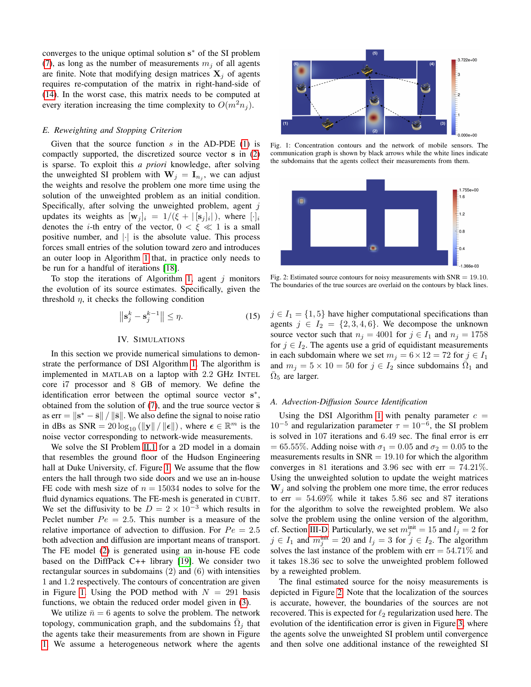converges to the unique optimal solution s <sup>∗</sup> of the SI problem [\(7\)](#page-2-1), as long as the number of measurements  $m_i$  of all agents are finite. Note that modifying design matrices  $X_i$  of agents requires re-computation of the matrix in right-hand-side of [\(14\)](#page-3-2). In the worst case, this matrix needs to be computed at every iteration increasing the time complexity to  $O(m^2n_i)$ .

## <span id="page-4-4"></span>*E. Reweighting and Stopping Criterion*

Given that the source function  $s$  in the AD-PDE [\(1\)](#page-1-1) is compactly supported, the discretized source vector s in [\(2\)](#page-1-2) is sparse. To exploit this *a priori* knowledge, after solving the unweighted SI problem with  $W_j = I_{n_j}$ , we can adjust the weights and resolve the problem one more time using the solution of the unweighted problem as an initial condition. Specifically, after solving the unweighted problem, agent  $j$ updates its weights as  $[\mathbf{w}_j]_i = 1/(\xi + |[\mathbf{s}_j]_i|)$ , where  $[\cdot]_i$ denotes the *i*-th entry of the vector,  $0 < \xi \ll 1$  is a small positive number, and  $|\cdot|$  is the absolute value. This process forces small entries of the solution toward zero and introduces an outer loop in Algorithm [1](#page-3-4) that, in practice only needs to be run for a handful of iterations [\[18\]](#page-5-17).

To stop the iterations of Algorithm [1,](#page-3-4) agent  $j$  monitors the evolution of its source estimates. Specifically, given the threshold  $\eta$ , it checks the following condition

$$
\left\| \mathbf{s}_j^k - \mathbf{s}_j^{k-1} \right\| \le \eta. \tag{15}
$$

# IV. SIMULATIONS

<span id="page-4-0"></span>In this section we provide numerical simulations to demonstrate the performance of DSI Algorithm [1.](#page-3-4) The algorithm is implemented in MATLAB on a laptop with 2.2 GHz INTEL core i7 processor and 8 GB of memory. We define the identification error between the optimal source vector s<sup>\*</sup>, obtained from the solution of  $(7)$ , and the true source vector  $\bar{s}$ as err =  $\|\mathbf{s}^* - \bar{\mathbf{s}}\| / \|\bar{\mathbf{s}}\|$ . We also define the signal to noise ratio in dBs as SNR =  $20 \log_{10} (||y|| / ||\epsilon||)$ , where  $\epsilon \in \mathbb{R}^m$  is the noise vector corresponding to network-wide measurements.

We solve the SI Problem [II.1](#page-1-6) for a 2D model in a domain that resembles the ground floor of the Hudson Engineering hall at Duke University, cf. Figure [1.](#page-4-2) We assume that the flow enters the hall through two side doors and we use an in-house FE code with mesh size of  $n = 15034$  nodes to solve for the fluid dynamics equations. The FE-mesh is generated in CUBIT. We set the diffusivity to be  $D = 2 \times 10^{-3}$  which results in Peclet number  $Pe = 2.5$ . This number is a measure of the relative importance of advection to diffusion. For  $Pe = 2.5$ both advection and diffusion are important means of transport. The FE model [\(2\)](#page-1-2) is generated using an in-house FE code based on the DiffPack C++ library [\[19\]](#page-5-18). We consider two rectangular sources in subdomains (2) and (6) with intensities 1 and 1.2 respectively. The contours of concentration are given in Figure [1.](#page-4-2) Using the POD method with  $N = 291$  basis functions, we obtain the reduced order model given in [\(3\)](#page-1-3).

We utilize  $\bar{n} = 6$  agents to solve the problem. The network topology, communication graph, and the subdomains  $\bar{\Omega}_j$  that the agents take their measurements from are shown in Figure [1.](#page-4-2) We assume a heterogeneous network where the agents

<span id="page-4-2"></span>

Fig. 1: Concentration contours and the network of mobile sensors. The communication graph is shown by black arrows while the white lines indicate the subdomains that the agents collect their measurements from them.

<span id="page-4-3"></span>

Fig. 2: Estimated source contours for noisy measurements with SNR = 19.10. The boundaries of the true sources are overlaid on the contours by black lines.

<span id="page-4-1"></span> $j \in I_1 = \{1, 5\}$  have higher computational specifications than agents  $j \in I_2 = \{2, 3, 4, 6\}$ . We decompose the unknown source vector such that  $n_j = 4001$  for  $j \in I_1$  and  $n_j = 1758$ for  $j \in I_2$ . The agents use a grid of equidistant measurements in each subdomain where we set  $m_j = 6 \times 12 = 72$  for  $j \in I_1$ and  $m_j = 5 \times 10 = 50$  for  $j \in I_2$  since subdomains  $\overline{\Omega}_1$  and  $\bar{\Omega}_5$  are larger.

#### *A. Advection-Diffusion Source Identification*

Using the DSI Algorithm [1](#page-3-4) with penalty parameter  $c =$  $10^{-5}$  and regularization parameter  $\tau = 10^{-6}$ , the SI problem is solved in 107 iterations and 6.49 sec. The final error is err = 65.55%. Adding noise with  $\sigma_1 = 0.05$  and  $\sigma_2 = 0.05$  to the measurements results in  $SNR = 19.10$  for which the algorithm converges in 81 iterations and 3.96 sec with  $err = 74.21\%$ . Using the unweighted solution to update the weight matrices  $W_i$  and solving the problem one more time, the error reduces to  $err = 54.69\%$  while it takes 5.86 sec and 87 iterations for the algorithm to solve the reweighted problem. We also solve the problem using the online version of the algorithm, cf. Section [III-D.](#page-3-11) Particularly, we set  $m_j^{\text{init}} = 15$  and  $l_j = 2$  for  $j \in I_1$  and  $m_j^{\text{init}} = 20$  and  $l_j = 3$  for  $j \in I_2$ . The algorithm solves the last instance of the problem with  $err = 54.71\%$  and it takes 18.36 sec to solve the unweighted problem followed by a reweighted problem.

The final estimated source for the noisy measurements is depicted in Figure [2.](#page-4-3) Note that the localization of the sources is accurate, however, the boundaries of the sources are not recovered. This is expected for  $\ell_2$  regularization used here. The evolution of the identification error is given in Figure [3,](#page-5-19) where the agents solve the unweighted SI problem until convergence and then solve one additional instance of the reweighted SI